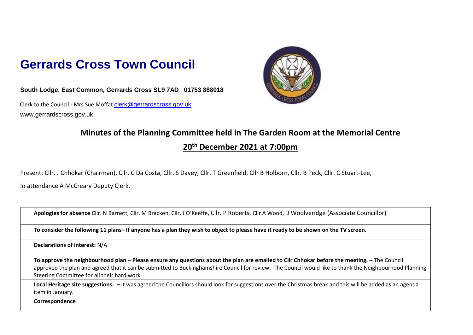## **Gerrards Cross Town Council**

**South Lodge, East Common, Gerrards Cross SL9 7AD 01753 888018**

Clerk to the Council - Mrs Sue Moffat clerk@gerrardscross.gov.uk www.gerrardscross.gov.uk



## **Minutes of the Planning Committee held in The Garden Room at the Memorial Centre**

## **20th December 2021 at 7:00pm**

Present: Cllr. J Chhokar (Chairman), Cllr. C Da Costa, Cllr. S Davey, Cllr. T Greenfield, Cllr B Holborn, Cllr. B Peck, Cllr. C Stuart-Lee,

In attendance A McCreary Deputy Clerk.

**Apologies for absence** Cllr. N Barnett, Cllr. M Bracken, Cllr. J O'Keeffe, Cllr. P Roberts, Cllr A Wood, J Woolveridge (Associate Councillor)

**To consider the following 11 plans– If anyone has a plan they wish to object to please have it ready to be shown on the TV screen.**

**Declarations of interest:** N/A

**To approve the neighbourhood plan – Please ensure any questions about the plan are emailed to Cllr Chhokar before the meeting. –** The Council approved the plan and agreed that it can be submitted to Buckinghamshire Council for review. The Council would like to thank the Neighbourhood Planning Steering Committee for all their hard work.

**Local Heritage site suggestions. –** It was agreed the Councillors should look for suggestions over the Christmas break and this will be added as an agenda item in January.

**Correspondence**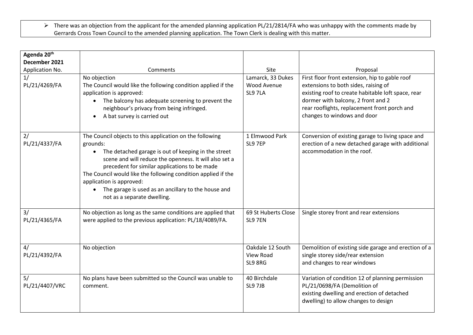There was an objection from the applicant for the amended planning application PL/21/2814/FA who was unhappy with the comments made by Gerrards Cross Town Council to the amended planning application. The Town Clerk is dealing with this matter.

| Agenda 20 <sup>th</sup> |                                                                                                                                                                                                                                                                                                                                                                                                                             |                                            |                                                                                                                                                                                                                                                                   |
|-------------------------|-----------------------------------------------------------------------------------------------------------------------------------------------------------------------------------------------------------------------------------------------------------------------------------------------------------------------------------------------------------------------------------------------------------------------------|--------------------------------------------|-------------------------------------------------------------------------------------------------------------------------------------------------------------------------------------------------------------------------------------------------------------------|
| December 2021           |                                                                                                                                                                                                                                                                                                                                                                                                                             |                                            |                                                                                                                                                                                                                                                                   |
| Application No.         | Comments                                                                                                                                                                                                                                                                                                                                                                                                                    | Site                                       | Proposal                                                                                                                                                                                                                                                          |
| 1/<br>PL/21/4269/FA     | No objection<br>The Council would like the following condition applied if the<br>application is approved:<br>• The balcony has adequate screening to prevent the<br>neighbour's privacy from being infringed.<br>A bat survey is carried out<br>$\bullet$                                                                                                                                                                   | Lamarck, 33 Dukes<br>Wood Avenue<br>SL97LA | First floor front extension, hip to gable roof<br>extensions to both sides, raising of<br>existing roof to create habitable loft space, rear<br>dormer with balcony, 2 front and 2<br>rear rooflights, replacement front porch and<br>changes to windows and door |
| 2/<br>PL/21/4337/FA     | The Council objects to this application on the following<br>grounds:<br>The detached garage is out of keeping in the street<br>scene and will reduce the openness. It will also set a<br>precedent for similar applications to be made<br>The Council would like the following condition applied if the<br>application is approved:<br>• The garage is used as an ancillary to the house and<br>not as a separate dwelling. | 1 Elmwood Park<br>SL9 7EP                  | Conversion of existing garage to living space and<br>erection of a new detached garage with additional<br>accommodation in the roof.                                                                                                                              |
| 3/<br>PL/21/4365/FA     | No objection as long as the same conditions are applied that<br>were applied to the previous application: PL/18/4089/FA.                                                                                                                                                                                                                                                                                                    | 69 St Huberts Close<br>SL9 7EN             | Single storey front and rear extensions                                                                                                                                                                                                                           |
| 4/<br>PL/21/4392/FA     | No objection                                                                                                                                                                                                                                                                                                                                                                                                                | Oakdale 12 South<br>View Road<br>SL9 8RG   | Demolition of existing side garage and erection of a<br>single storey side/rear extension<br>and changes to rear windows                                                                                                                                          |
| 5/<br>PL/21/4407/VRC    | No plans have been submitted so the Council was unable to<br>comment.                                                                                                                                                                                                                                                                                                                                                       | 40 Birchdale<br>SL9 7JB                    | Variation of condition 12 of planning permission<br>PL/21/0698/FA (Demolition of<br>existing dwelling and erection of detached<br>dwelling) to allow changes to design                                                                                            |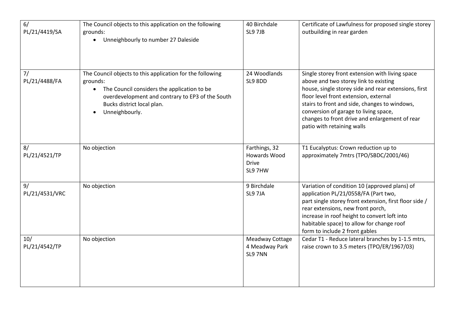| 6/<br>PL/21/4419/SA  | The Council objects to this application on the following<br>grounds:<br>Unneighbourly to number 27 Daleside<br>$\bullet$                                                                                                              | 40 Birchdale<br>SL9 7JB                                  | Certificate of Lawfulness for proposed single storey<br>outbuilding in rear garden                                                                                                                                                                                                                                                                                  |
|----------------------|---------------------------------------------------------------------------------------------------------------------------------------------------------------------------------------------------------------------------------------|----------------------------------------------------------|---------------------------------------------------------------------------------------------------------------------------------------------------------------------------------------------------------------------------------------------------------------------------------------------------------------------------------------------------------------------|
| 7/<br>PL/21/4488/FA  | The Council objects to this application for the following<br>grounds:<br>The Council considers the application to be<br>$\bullet$<br>overdevelopment and contrary to EP3 of the South<br>Bucks district local plan.<br>Unneighbourly. | 24 Woodlands<br>SL9 8DD                                  | Single storey front extension with living space<br>above and two storey link to existing<br>house, single storey side and rear extensions, first<br>floor level front extension, external<br>stairs to front and side, changes to windows,<br>conversion of garage to living space,<br>changes to front drive and enlargement of rear<br>patio with retaining walls |
| 8/<br>PL/21/4521/TP  | No objection                                                                                                                                                                                                                          | Farthings, 32<br>Howards Wood<br><b>Drive</b><br>SL9 7HW | T1 Eucalyptus: Crown reduction up to<br>approximately 7mtrs (TPO/SBDC/2001/46)                                                                                                                                                                                                                                                                                      |
| 9/<br>PL/21/4531/VRC | No objection                                                                                                                                                                                                                          | 9 Birchdale<br>SL9 7JA                                   | Variation of condition 10 (approved plans) of<br>application PL/21/0558/FA (Part two,<br>part single storey front extension, first floor side /<br>rear extensions, new front porch,<br>increase in roof height to convert loft into<br>habitable space) to allow for change roof<br>form to include 2 front gables                                                 |
| 10/<br>PL/21/4542/TP | No objection                                                                                                                                                                                                                          | Meadway Cottage<br>4 Meadway Park<br>SL9 7NN             | Cedar T1 - Reduce lateral branches by 1-1.5 mtrs,<br>raise crown to 3.5 meters (TPO/ER/1967/03)                                                                                                                                                                                                                                                                     |